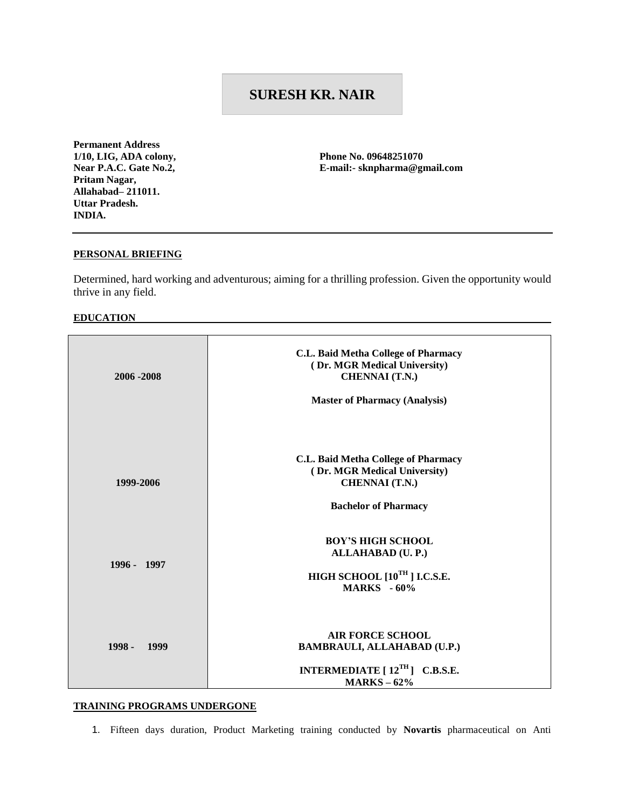# **SURESH KR. NAIR**

**Permanent Address 1/10, LIG, ADA colony, Near P.A.C. Gate No.2, Pritam Nagar, Allahabad– 211011. Uttar Pradesh. INDIA.** 

**Phone No. 09648251070 E-mail:- sknpharma@gmail.com** 

#### **PERSONAL BRIEFING**

Determined, hard working and adventurous; aiming for a thrilling profession. Given the opportunity would thrive in any field.

#### **EDUCATION**

| 2006 - 2008 | C.L. Baid Metha College of Pharmacy<br>(Dr. MGR Medical University)<br><b>CHENNAI</b> (T.N.)<br><b>Master of Pharmacy (Analysis)</b> |
|-------------|--------------------------------------------------------------------------------------------------------------------------------------|
| 1999-2006   | C.L. Baid Metha College of Pharmacy<br>(Dr. MGR Medical University)<br><b>CHENNAI</b> (T.N.)<br><b>Bachelor of Pharmacy</b>          |
| 1996 - 1997 | <b>BOY'S HIGH SCHOOL</b><br>ALLAHABAD (U.P.)<br>HIGH SCHOOL $[10^{TH}]$ I.C.S.E.<br><b>MARKS</b> - 60%                               |
| 1998 - 1999 | <b>AIR FORCE SCHOOL</b><br><b>BAMBRAULI, ALLAHABAD (U.P.)</b><br>INTERMEDIATE $[12^{TH}]$ C.B.S.E.<br>$MARKS - 62%$                  |

#### **TRAINING PROGRAMS UNDERGONE**

1. Fifteen days duration, Product Marketing training conducted by **Novartis** pharmaceutical on Anti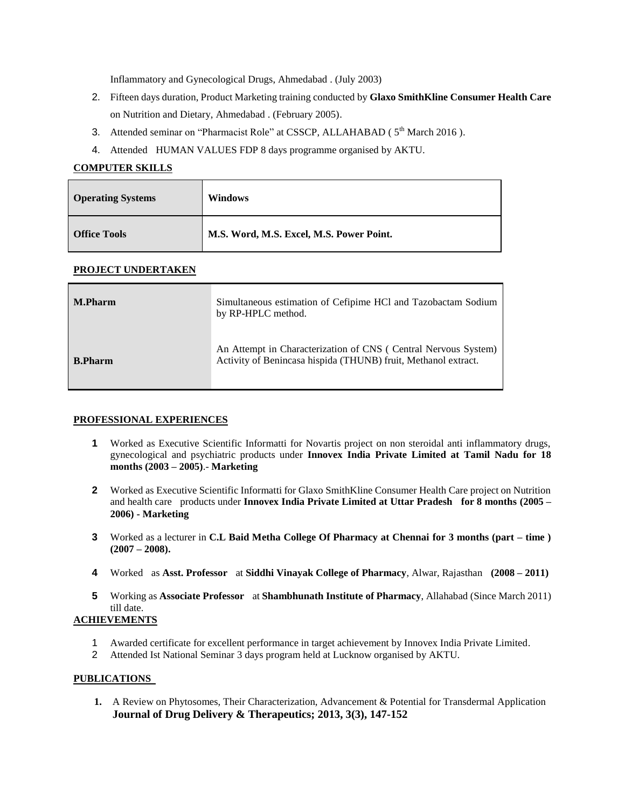Inflammatory and Gynecological Drugs, Ahmedabad . (July 2003)

- 2. Fifteen days duration, Product Marketing training conducted by **Glaxo SmithKline Consumer Health Care**  on Nutrition and Dietary, Ahmedabad . (February 2005).
- 3. Attended seminar on "Pharmacist Role" at CSSCP, ALLAHABAD ( $5<sup>th</sup>$  March 2016).
- 4. Attended HUMAN VALUES FDP 8 days programme organised by AKTU.

## **COMPUTER SKILLS**

| <b>Operating Systems</b> | <b>Windows</b>                           |
|--------------------------|------------------------------------------|
| <b>Office Tools</b>      | M.S. Word, M.S. Excel, M.S. Power Point. |

## **PROJECT UNDERTAKEN**

| <b>M.Pharm</b> | Simultaneous estimation of Cefipime HCl and Tazobactam Sodium<br>by RP-HPLC method.                                              |
|----------------|----------------------------------------------------------------------------------------------------------------------------------|
| <b>B.Pharm</b> | An Attempt in Characterization of CNS (Central Nervous System)<br>Activity of Benincasa hispida (THUNB) fruit, Methanol extract. |

## **PROFESSIONAL EXPERIENCES**

- **1** Worked as Executive Scientific Informatti for Novartis project on non steroidal anti inflammatory drugs, gynecological and psychiatric products under **Innovex India Private Limited at Tamil Nadu for 18 months (2003 – 2005)**.- **Marketing**
- **2** Worked as Executive Scientific Informatti for Glaxo SmithKline Consumer Health Care project on Nutrition and health care products under **Innovex India Private Limited at Uttar Pradesh for 8 months (2005 – 2006) - Marketing**
- **3** Worked as a lecturer in **C.L Baid Metha College Of Pharmacy at Chennai for 3 months (part – time ) (2007 – 2008).**
- **4** Worked as **Asst. Professor** at **Siddhi Vinayak College of Pharmacy**, Alwar, Rajasthan **(2008 – 2011)**
- **5** Working as **Associate Professor** at **Shambhunath Institute of Pharmacy**, Allahabad (Since March 2011) till date.

## **ACHIEVEMENTS**

- 1 Awarded certificate for excellent performance in target achievement by Innovex India Private Limited.
- 2 Attended Ist National Seminar 3 days program held at Lucknow organised by AKTU.

## **PUBLICATIONS**

**1.** A Review on Phytosomes, Their Characterization, Advancement & Potential for Transdermal Application **Journal of Drug Delivery & Therapeutics; 2013, 3(3), 147-152**